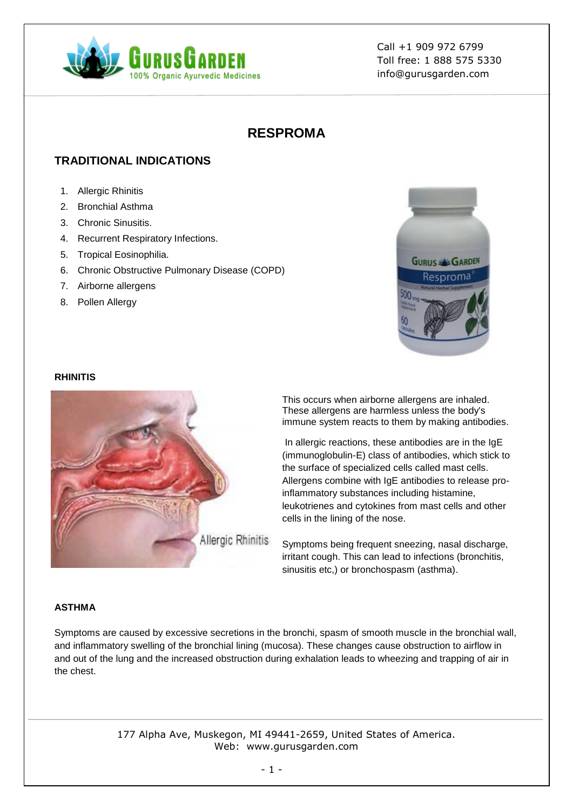

# **RESPROMA**

# **TRADITIONAL INDICATIONS**

- 1. Allergic Rhinitis
- 2. Bronchial Asthma
- 3. Chronic Sinusitis.
- 4. Recurrent Respiratory Infections.
- 5. Tropical Eosinophilia.
- 6. Chronic Obstructive Pulmonary Disease (COPD)
- 7. Airborne allergens
- 8. Pollen Allergy



#### **RHINITIS**



This occurs when airborne allergens are inhaled. These allergens are harmless unless the body's immune system reacts to them by making antibodies.

In allergic reactions, these antibodies are in the IgE (immunoglobulin-E) class of antibodies, which stick to the surface of specialized cells called mast cells. Allergens combine with IgE antibodies to release proinflammatory substances including histamine, leukotrienes and cytokines from mast cells and other cells in the lining of the nose.

Symptoms being frequent sneezing, nasal discharge, irritant cough. This can lead to infections (bronchitis, sinusitis etc,) or bronchospasm (asthma).

## **ASTHMA**

Symptoms are caused by excessive secretions in the bronchi, spasm of smooth muscle in the bronchial wall, and inflammatory swelling of the bronchial lining (mucosa). These changes cause obstruction to airflow in and out of the lung and the increased obstruction during exhalation leads to wheezing and trapping of air in the chest.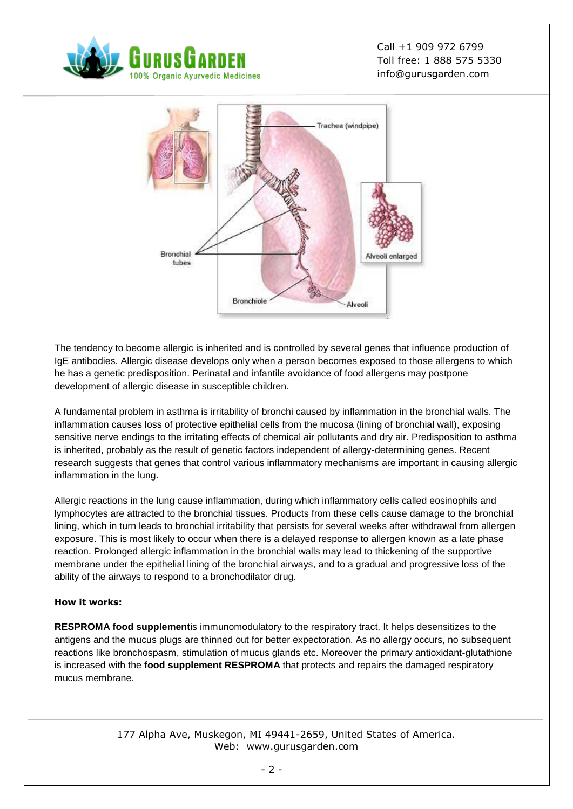



The tendency to become allergic is inherited and is controlled by several genes that influence production of IgE antibodies. Allergic disease develops only when a person becomes exposed to those allergens to which he has a genetic predisposition. Perinatal and infantile avoidance of food allergens may postpone development of allergic disease in susceptible children.

A fundamental problem in asthma is irritability of bronchi caused by inflammation in the bronchial walls. The inflammation causes loss of protective epithelial cells from the mucosa (lining of bronchial wall), exposing sensitive nerve endings to the irritating effects of chemical air pollutants and dry air. Predisposition to asthma is inherited, probably as the result of genetic factors independent of allergy-determining genes. Recent research suggests that genes that control various inflammatory mechanisms are important in causing allergic inflammation in the lung.

Allergic reactions in the lung cause inflammation, during which inflammatory cells called eosinophils and lymphocytes are attracted to the bronchial tissues. Products from these cells cause damage to the bronchial lining, which in turn leads to bronchial irritability that persists for several weeks after withdrawal from allergen exposure. This is most likely to occur when there is a delayed response to allergen known as a late phase reaction. Prolonged allergic inflammation in the bronchial walls may lead to thickening of the supportive membrane under the epithelial lining of the bronchial airways, and to a gradual and progressive loss of the ability of the airways to respond to a bronchodilator drug.

## **How it works:**

**RESPROMA food supplement**is immunomodulatory to the respiratory tract. It helps desensitizes to the antigens and the mucus plugs are thinned out for better expectoration. As no allergy occurs, no subsequent reactions like bronchospasm, stimulation of mucus glands etc. Moreover the primary antioxidant-glutathione is increased with the **food supplement RESPROMA** that protects and repairs the damaged respiratory mucus membrane.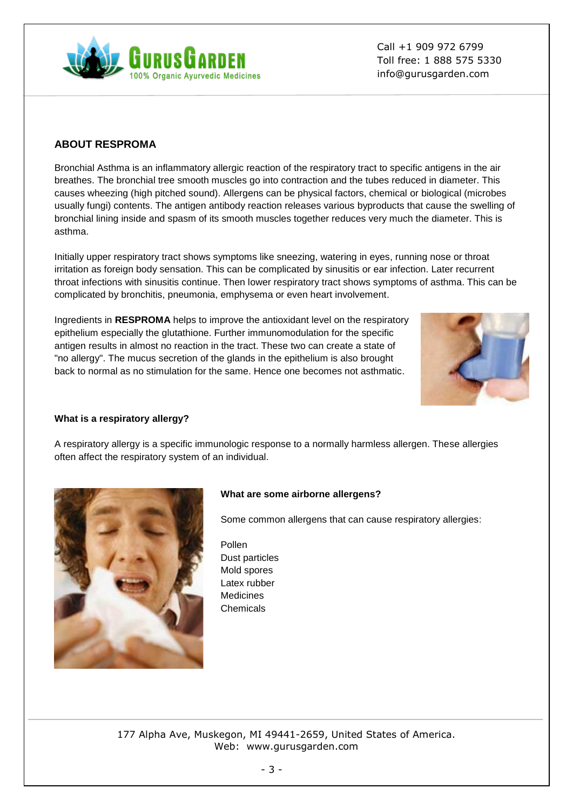# **ABOUT RESPROMA**

Bronchial Asthma is an inflammatory allergic reaction of the respiratory tract to specific antigens in the air breathes. The bronchial tree smooth muscles go into contraction and the tubes reduced in diameter. This causes wheezing (high pitched sound). Allergens can be physical factors, chemical or biological (microbes usually fungi) contents. The antigen antibody reaction releases various byproducts that cause the swelling of bronchial lining inside and spasm of its smooth muscles together reduces very much the diameter. This is asthma.

Initially upper respiratory tract shows symptoms like sneezing, watering in eyes, running nose or throat irritation as foreign body sensation. This can be complicated by sinusitis or ear infection. Later recurrent throat infections with sinusitis continue. Then lower respiratory tract shows symptoms of asthma. This can be complicated by bronchitis, pneumonia, emphysema or even heart involvement.

Ingredients in **RESPROMA** helps to improve the antioxidant level on the respiratory epithelium especially the glutathione. Further immunomodulation for the specific antigen results in almost no reaction in the tract. These two can create a state of "no allergy". The mucus secretion of the glands in the epithelium is also brought back to normal as no stimulation for the same. Hence one becomes not asthmatic.

## **What is a respiratory allergy?**

A respiratory allergy is a specific immunologic response to a normally harmless allergen. These allergies often affect the respiratory system of an individual.

## **What are some airborne allergens?**

Some common allergens that can cause respiratory allergies:

Pollen Dust particles Mold spores Latex rubber Medicines Chemicals





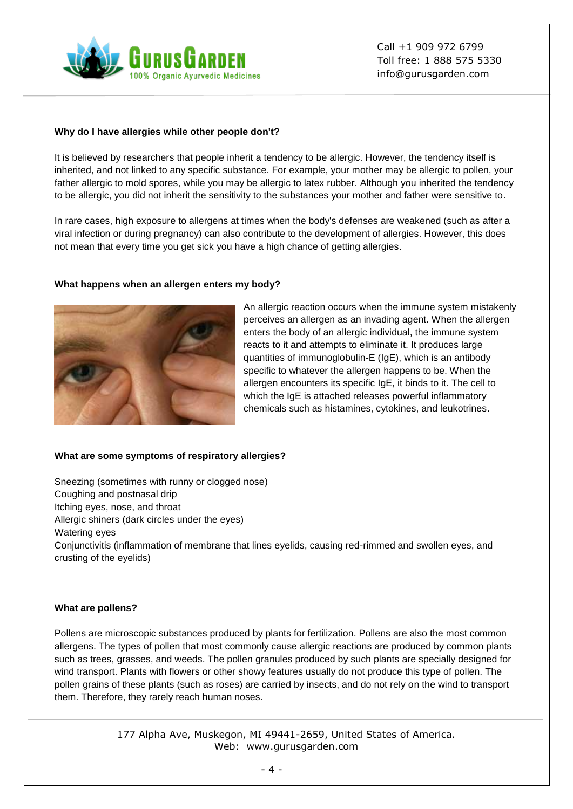

## **Why do I have allergies while other people don't?**

It is believed by researchers that people inherit a tendency to be allergic. However, the tendency itself is inherited, and not linked to any specific substance. For example, your mother may be allergic to pollen, your father allergic to mold spores, while you may be allergic to latex rubber. Although you inherited the tendency to be allergic, you did not inherit the sensitivity to the substances your mother and father were sensitive to.

In rare cases, high exposure to allergens at times when the body's defenses are weakened (such as after a viral infection or during pregnancy) can also contribute to the development of allergies. However, this does not mean that every time you get sick you have a high chance of getting allergies.

## **What happens when an allergen enters my body?**



An allergic reaction occurs when the immune system mistakenly perceives an allergen as an invading agent. When the allergen enters the body of an allergic individual, the immune system reacts to it and attempts to eliminate it. It produces large quantities of immunoglobulin-E (IgE), which is an antibody specific to whatever the allergen happens to be. When the allergen encounters its specific IgE, it binds to it. The cell to which the IgE is attached releases powerful inflammatory chemicals such as histamines, cytokines, and leukotrines.

## **What are some symptoms of respiratory allergies?**

Sneezing (sometimes with runny or clogged nose) Coughing and postnasal drip Itching eyes, nose, and throat Allergic shiners (dark circles under the eyes) Watering eyes Conjunctivitis (inflammation of membrane that lines eyelids, causing red-rimmed and swollen eyes, and crusting of the eyelids)

## **What are pollens?**

Pollens are microscopic substances produced by plants for fertilization. Pollens are also the most common allergens. The types of pollen that most commonly cause allergic reactions are produced by common plants such as trees, grasses, and weeds. The pollen granules produced by such plants are specially designed for wind transport. Plants with flowers or other showy features usually do not produce this type of pollen. The pollen grains of these plants (such as roses) are carried by insects, and do not rely on the wind to transport them. Therefore, they rarely reach human noses.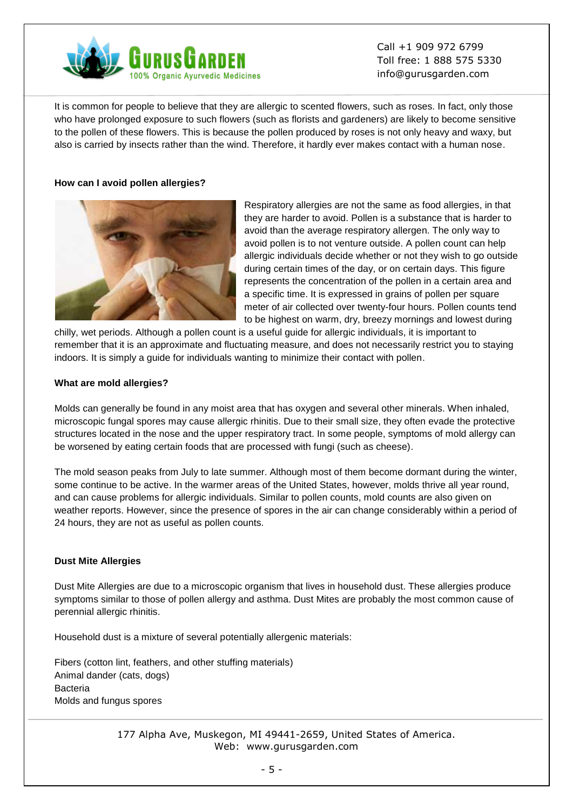

It is common for people to believe that they are allergic to scented flowers, such as roses. In fact, only those who have prolonged exposure to such flowers (such as florists and gardeners) are likely to become sensitive to the pollen of these flowers. This is because the pollen produced by roses is not only heavy and waxy, but also is carried by insects rather than the wind. Therefore, it hardly ever makes contact with a human nose.

## **How can I avoid pollen allergies?**



Respiratory allergies are not the same as food allergies, in that they are harder to avoid. Pollen is a substance that is harder to avoid than the average respiratory allergen. The only way to avoid pollen is to not venture outside. A pollen count can help allergic individuals decide whether or not they wish to go outside during certain times of the day, or on certain days. This figure represents the concentration of the pollen in a certain area and a specific time. It is expressed in grains of pollen per square meter of air collected over twenty-four hours. Pollen counts tend to be highest on warm, dry, breezy mornings and lowest during

chilly, wet periods. Although a pollen count is a useful guide for allergic individuals, it is important to remember that it is an approximate and fluctuating measure, and does not necessarily restrict you to staying indoors. It is simply a guide for individuals wanting to minimize their contact with pollen.

#### **What are mold allergies?**

Molds can generally be found in any moist area that has oxygen and several other minerals. When inhaled, microscopic fungal spores may cause allergic rhinitis. Due to their small size, they often evade the protective structures located in the nose and the upper respiratory tract. In some people, symptoms of mold allergy can be worsened by eating certain foods that are processed with fungi (such as cheese).

The mold season peaks from July to late summer. Although most of them become dormant during the winter, some continue to be active. In the warmer areas of the United States, however, molds thrive all year round, and can cause problems for allergic individuals. Similar to pollen counts, mold counts are also given on weather reports. However, since the presence of spores in the air can change considerably within a period of 24 hours, they are not as useful as pollen counts.

#### **Dust Mite Allergies**

Dust Mite Allergies are due to a microscopic organism that lives in household dust. These allergies produce symptoms similar to those of pollen allergy and asthma. Dust Mites are probably the most common cause of perennial allergic rhinitis.

Household dust is a mixture of several potentially allergenic materials:

Fibers (cotton lint, feathers, and other stuffing materials) Animal dander (cats, dogs) Bacteria Molds and fungus spores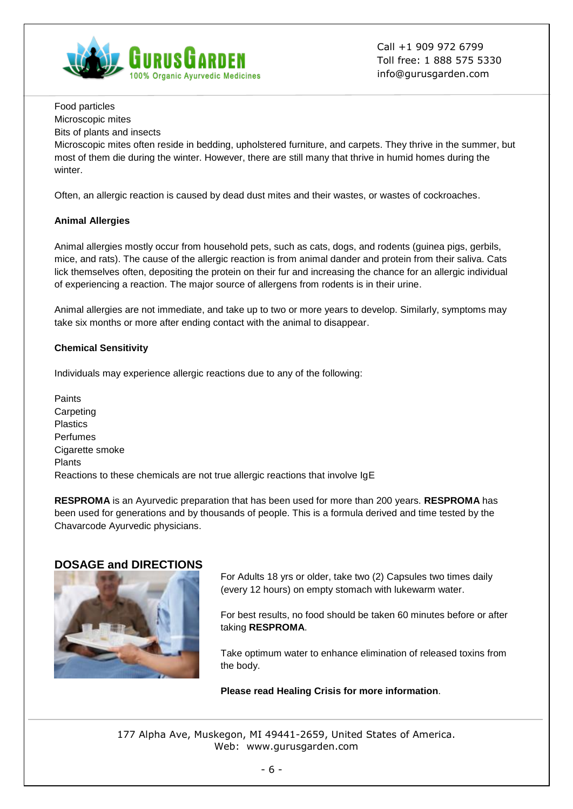

Food particles

Microscopic mites

Bits of plants and insects

Microscopic mites often reside in bedding, upholstered furniture, and carpets. They thrive in the summer, but most of them die during the winter. However, there are still many that thrive in humid homes during the winter.

Often, an allergic reaction is caused by dead dust mites and their wastes, or wastes of cockroaches.

## **Animal Allergies**

Animal allergies mostly occur from household pets, such as cats, dogs, and rodents (guinea pigs, gerbils, mice, and rats). The cause of the allergic reaction is from animal dander and protein from their saliva. Cats lick themselves often, depositing the protein on their fur and increasing the chance for an allergic individual of experiencing a reaction. The major source of allergens from rodents is in their urine.

Animal allergies are not immediate, and take up to two or more years to develop. Similarly, symptoms may take six months or more after ending contact with the animal to disappear.

## **Chemical Sensitivity**

Individuals may experience allergic reactions due to any of the following:

Paints **Carpeting** Plastics Perfumes Cigarette smoke Plants Reactions to these chemicals are not true allergic reactions that involve IgE

**RESPROMA** is an Ayurvedic preparation that has been used for more than 200 years. **RESPROMA** has been used for generations and by thousands of people. This is a formula derived and time tested by the Chavarcode Ayurvedic physicians.

## **DOSAGE and DIRECTIONS**



For Adults 18 yrs or older, take two (2) Capsules two times daily (every 12 hours) on empty stomach with lukewarm water.

For best results, no food should be taken 60 minutes before or after taking **RESPROMA**.

Take optimum water to enhance elimination of released toxins from the body.

**Please read Healing Crisis for more information**.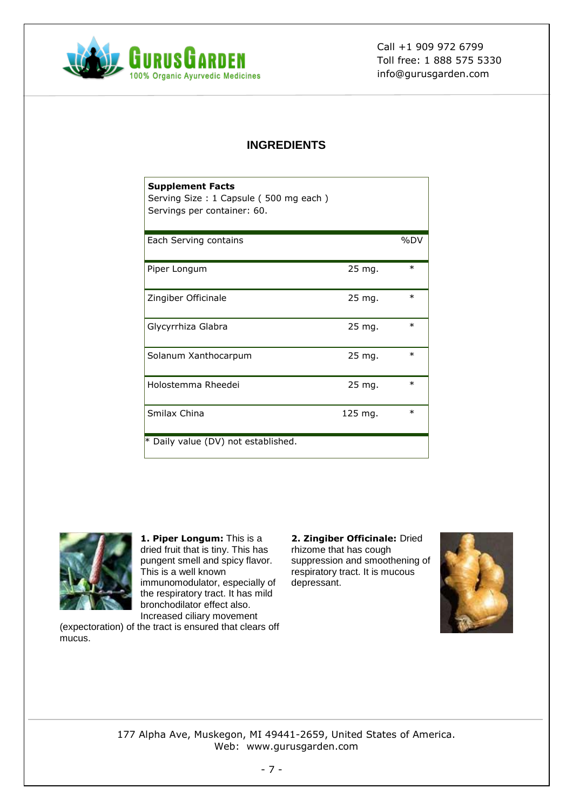

# **INGREDIENTS**

| <b>Supplement Facts</b><br>Serving Size: 1 Capsule (500 mg each)<br>Servings per container: 60. |           |        |
|-------------------------------------------------------------------------------------------------|-----------|--------|
| Each Serving contains                                                                           |           | %DV    |
| Piper Longum                                                                                    | 25 mg.    | $\ast$ |
| Zingiber Officinale                                                                             | 25 mg.    | $\ast$ |
| Glycyrrhiza Glabra                                                                              | 25 mg.    | $\ast$ |
| Solanum Xanthocarpum                                                                            | 25 mg.    | $\ast$ |
| Holostemma Rheedei                                                                              | 25 mg.    | $\ast$ |
| Smilax China                                                                                    | $125$ mg. | $\ast$ |
| * Daily value (DV) not established.                                                             |           |        |



**1. Piper Longum:** This is a dried fruit that is tiny. This has pungent smell and spicy flavor. This is a well known immunomodulator, especially of the respiratory tract. It has mild bronchodilator effect also. Increased ciliary movement

(expectoration) of the tract is ensured that clears off mucus.

**2. Zingiber Officinale:** Dried rhizome that has cough suppression and smoothening of respiratory tract. It is mucous depressant.

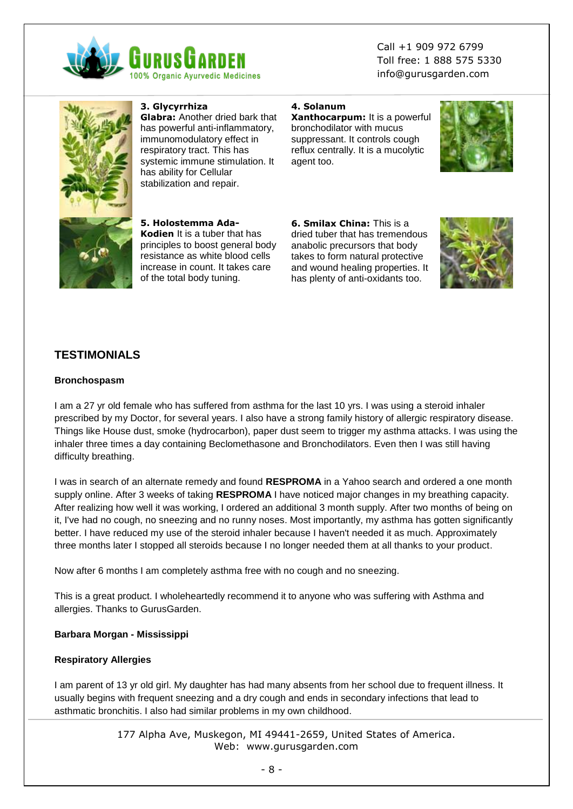



**3. Glycyrrhiza**

**Glabra:** Another dried bark that has powerful anti-inflammatory, immunomodulatory effect in respiratory tract. This has systemic immune stimulation. It has ability for Cellular stabilization and repair.

**5. Holostemma Ada-Kodien** It is a tuber that has principles to boost general body resistance as white blood cells increase in count. It takes care of the total body tuning.

### **4. Solanum**

**Xanthocarpum:** It is a powerful bronchodilator with mucus suppressant. It controls cough reflux centrally. It is a mucolytic agent too.



**6. Smilax China:** This is a dried tuber that has tremendous anabolic precursors that body takes to form natural protective and wound healing properties. It has plenty of anti-oxidants too.



# **TESTIMONIALS**

#### **Bronchospasm**

I am a 27 yr old female who has suffered from asthma for the last 10 yrs. I was using a steroid inhaler prescribed by my Doctor, for several years. I also have a strong family history of allergic respiratory disease. Things like House dust, smoke (hydrocarbon), paper dust seem to trigger my asthma attacks. I was using the inhaler three times a day containing Beclomethasone and Bronchodilators. Even then I was still having difficulty breathing.

I was in search of an alternate remedy and found **RESPROMA** in a Yahoo search and ordered a one month supply online. After 3 weeks of taking **RESPROMA** I have noticed major changes in my breathing capacity. After realizing how well it was working, I ordered an additional 3 month supply. After two months of being on it, I've had no cough, no sneezing and no runny noses. Most importantly, my asthma has gotten significantly better. I have reduced my use of the steroid inhaler because I haven't needed it as much. Approximately three months later I stopped all steroids because I no longer needed them at all thanks to your product.

Now after 6 months I am completely asthma free with no cough and no sneezing.

This is a great product. I wholeheartedly recommend it to anyone who was suffering with Asthma and allergies. Thanks to GurusGarden.

#### **Barbara Morgan - Mississippi**

## **Respiratory Allergies**

I am parent of 13 yr old girl. My daughter has had many absents from her school due to frequent illness. It usually begins with frequent sneezing and a dry cough and ends in secondary infections that lead to asthmatic bronchitis. I also had similar problems in my own childhood.